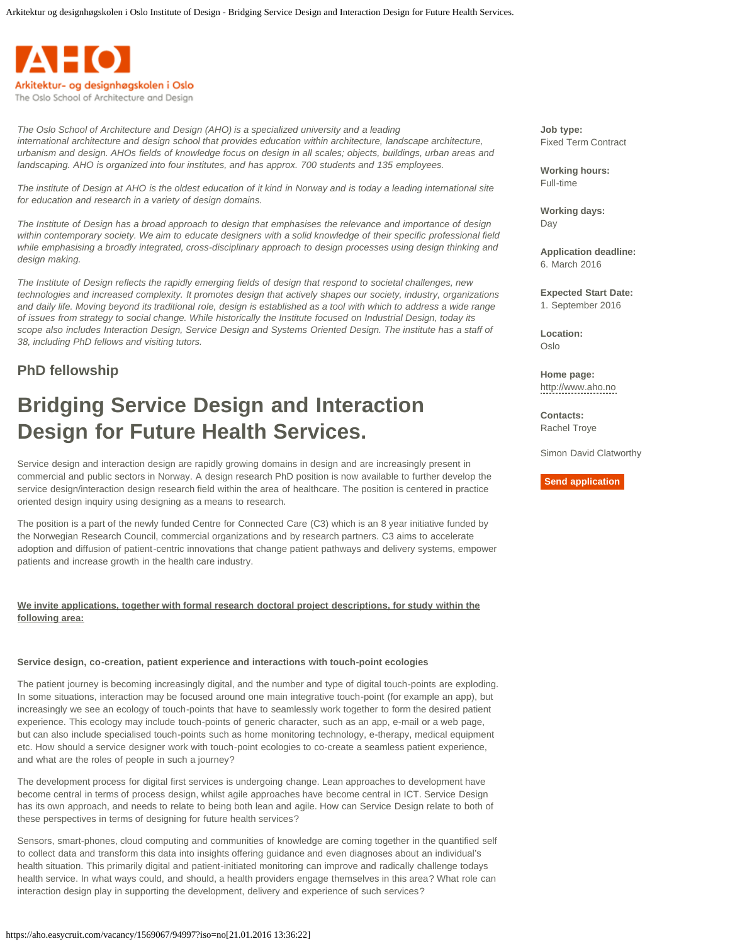

*The Oslo School of Architecture and Design (AHO) is a specialized university and a leading international architecture and design school that provides education within architecture, landscape architecture, urbanism and design. AHOs fields of knowledge focus on design in all scales; objects, buildings, urban areas and landscaping. AHO is organized into four institutes, and has approx. 700 students and 135 employees.* 

*The institute of Design at AHO is the oldest education of it kind in Norway and is today a leading international site for education and research in a variety of design domains.* 

*The Institute of Design has a broad approach to design that emphasises the relevance and importance of design within contemporary society. We aim to educate designers with a solid knowledge of their specific professional field while emphasising a broadly integrated, cross-disciplinary approach to design processes using design thinking and design making.* 

*The Institute of Design reflects the rapidly emerging fields of design that respond to societal challenges, new technologies and increased complexity. It promotes design that actively shapes our society, industry, organizations and daily life. Moving beyond its traditional role, design is established as a tool with which to address a wide range of issues from strategy to social change. While historically the Institute focused on Industrial Design, today its scope also includes Interaction Design, Service Design and Systems Oriented Design. The institute has a staff of 38, including PhD fellows and visiting tutors.* 

# **PhD fellowship**

# **Bridging Service Design and Interaction Design for Future Health Services.**

Service design and interaction design are rapidly growing domains in design and are increasingly present in commercial and public sectors in Norway. A design research PhD position is now available to further develop the service design/interaction design research field within the area of healthcare. The position is centered in practice oriented design inquiry using designing as a means to research.

The position is a part of the newly funded Centre for Connected Care (C3) which is an 8 year initiative funded by the Norwegian Research Council, commercial organizations and by research partners. C3 aims to accelerate adoption and diffusion of patient-centric innovations that change patient pathways and delivery systems, empower patients and increase growth in the health care industry.

## **We invite applications, together with formal research doctoral project descriptions, for study within the following area:**

#### **Service design, co-creation, patient experience and interactions with touch-point ecologies**

The patient journey is becoming increasingly digital, and the number and type of digital touch-points are exploding. In some situations, interaction may be focused around one main integrative touch-point (for example an app), but increasingly we see an ecology of touch-points that have to seamlessly work together to form the desired patient experience. This ecology may include touch-points of generic character, such as an app, e-mail or a web page, but can also include specialised touch-points such as home monitoring technology, e-therapy, medical equipment etc. How should a service designer work with touch-point ecologies to co-create a seamless patient experience, and what are the roles of people in such a journey?

The development process for digital first services is undergoing change. Lean approaches to development have become central in terms of process design, whilst agile approaches have become central in ICT. Service Design has its own approach, and needs to relate to being both lean and agile. How can Service Design relate to both of these perspectives in terms of designing for future health services?

Sensors, smart-phones, cloud computing and communities of knowledge are coming together in the quantified self to collect data and transform this data into insights offering guidance and even diagnoses about an individual's health situation. This primarily digital and patient-initiated monitoring can improve and radically challenge todays health service. In what ways could, and should, a health providers engage themselves in this area? What role can interaction design play in supporting the development, delivery and experience of such services?

**Job type:** Fixed Term Contract

**Working hours:** Full-time

**Working days:** Day

**Application deadline:** 6. March 2016

**Expected Start Date:** 1. September 2016

**Location:** Oslo

**Home page:** [http://www.aho.no](http://www.aho.no/)

**Contacts:** Rachel Troye

Simon David Clatworthy

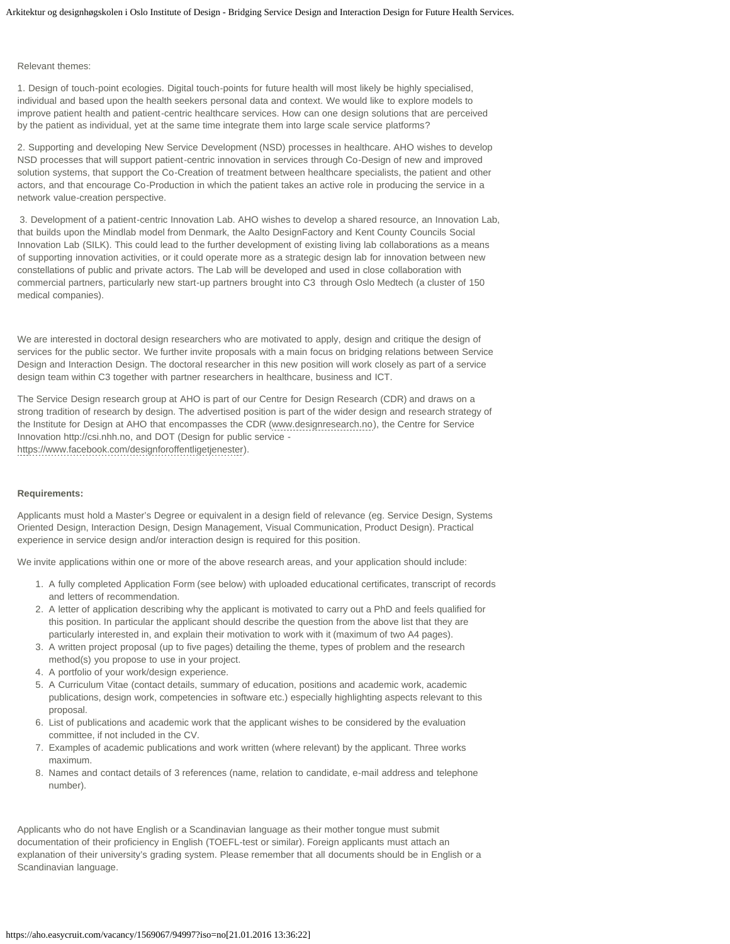#### Relevant themes:

1. Design of touch-point ecologies. Digital touch-points for future health will most likely be highly specialised, individual and based upon the health seekers personal data and context. We would like to explore models to improve patient health and patient-centric healthcare services. How can one design solutions that are perceived by the patient as individual, yet at the same time integrate them into large scale service platforms?

2. Supporting and developing New Service Development (NSD) processes in healthcare. AHO wishes to develop NSD processes that will support patient-centric innovation in services through Co-Design of new and improved solution systems, that support the Co-Creation of treatment between healthcare specialists, the patient and other actors, and that encourage Co-Production in which the patient takes an active role in producing the service in a network value-creation perspective.

3. Development of a patient-centric Innovation Lab. AHO wishes to develop a shared resource, an Innovation Lab, that builds upon the Mindlab model from Denmark, the Aalto DesignFactory and Kent County Councils Social Innovation Lab (SILK). This could lead to the further development of existing living lab collaborations as a means of supporting innovation activities, or it could operate more as a strategic design lab for innovation between new constellations of public and private actors. The Lab will be developed and used in close collaboration with commercial partners, particularly new start-up partners brought into C3 through Oslo Medtech (a cluster of 150 medical companies).

We are interested in doctoral design researchers who are motivated to apply, design and critique the design of services for the public sector. We further invite proposals with a main focus on bridging relations between Service Design and Interaction Design. The doctoral researcher in this new position will work closely as part of a service design team within C3 together with partner researchers in healthcare, business and ICT.

The Service Design research group at AHO is part of our Centre for Design Research (CDR) and draws on a strong tradition of research by design. The advertised position is part of the wider design and research strategy of the Institute for Design at AHO that encompasses the CDR [\(www.designresearch.no](http://designresearch.no/)), the Centre for Service Innovation http://csi.nhh.no, and DOT (Design for public service [https://www.facebook.com/designforoffentligetjenester\)](https://www.facebook.com/designforoffentligetjenester).

#### **Requirements:**

Applicants must hold a Master's Degree or equivalent in a design field of relevance (eg. Service Design, Systems Oriented Design, Interaction Design, Design Management, Visual Communication, Product Design). Practical experience in service design and/or interaction design is required for this position.

We invite applications within one or more of the above research areas, and your application should include:

- 1. A fully completed Application Form (see below) with uploaded educational certificates, transcript of records and letters of recommendation.
- 2. A letter of application describing why the applicant is motivated to carry out a PhD and feels qualified for this position. In particular the applicant should describe the question from the above list that they are particularly interested in, and explain their motivation to work with it (maximum of two A4 pages).
- 3. A written project proposal (up to five pages) detailing the theme, types of problem and the research method(s) you propose to use in your project.
- 4. A portfolio of your work/design experience.
- 5. A Curriculum Vitae (contact details, summary of education, positions and academic work, academic publications, design work, competencies in software etc.) especially highlighting aspects relevant to this proposal.
- 6. List of publications and academic work that the applicant wishes to be considered by the evaluation committee, if not included in the CV.
- 7. Examples of academic publications and work written (where relevant) by the applicant. Three works maximum.
- 8. Names and contact details of 3 references (name, relation to candidate, e-mail address and telephone number).

Applicants who do not have English or a Scandinavian language as their mother tongue must submit documentation of their proficiency in English (TOEFL-test or similar). Foreign applicants must attach an explanation of their university's grading system. Please remember that all documents should be in English or a Scandinavian language.